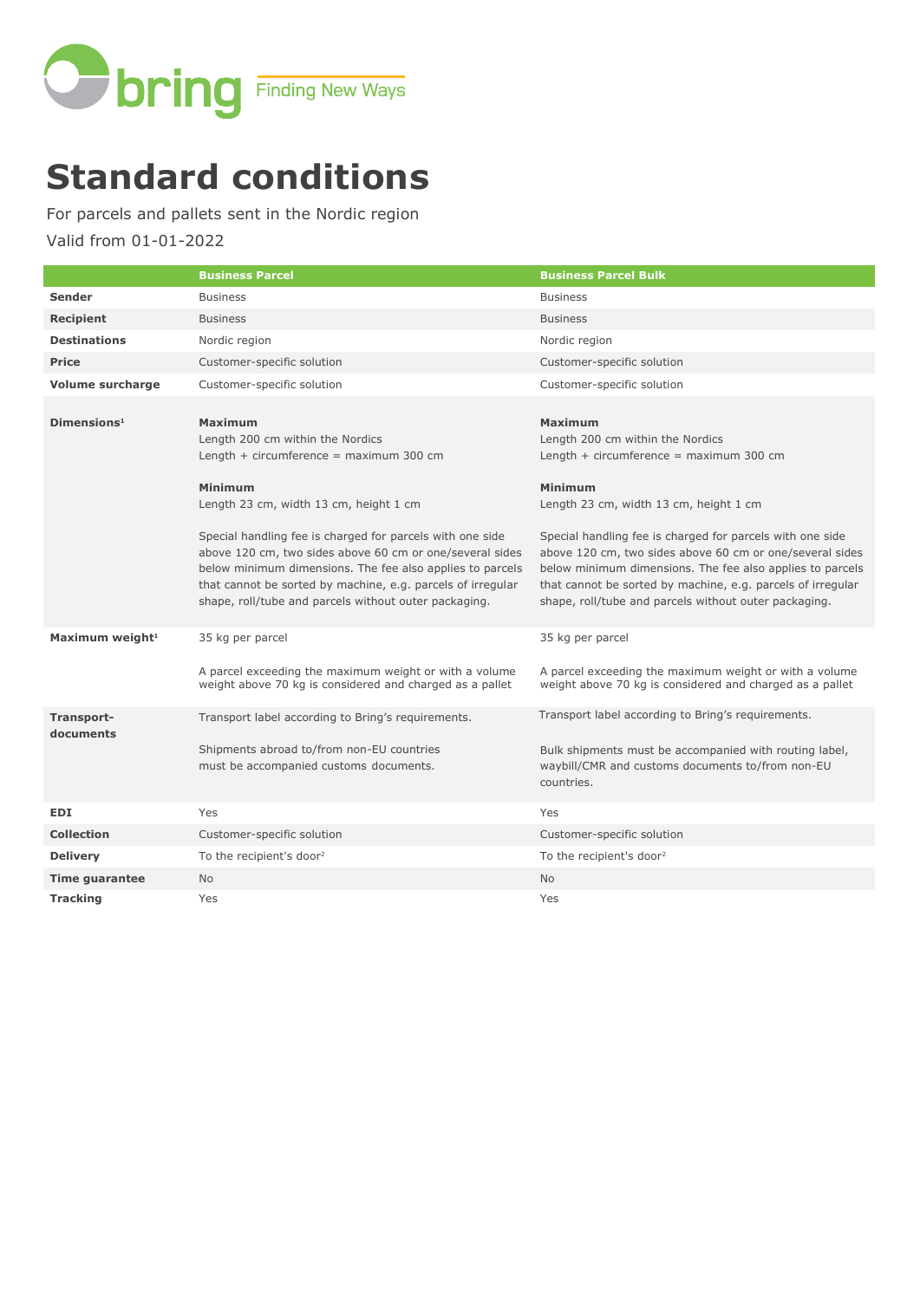

# **Standard conditions**

For parcels and pallets sent in the Nordic region

Valid from 01-01-2022

|                             | <b>Business Parcel</b>                                                                                                                                                                                                                                                                                                                                                                                                                                                    | <b>Business Parcel Bulk</b>                                                                                                                                                                                                                                                                                                                                                                                                                                        |
|-----------------------------|---------------------------------------------------------------------------------------------------------------------------------------------------------------------------------------------------------------------------------------------------------------------------------------------------------------------------------------------------------------------------------------------------------------------------------------------------------------------------|--------------------------------------------------------------------------------------------------------------------------------------------------------------------------------------------------------------------------------------------------------------------------------------------------------------------------------------------------------------------------------------------------------------------------------------------------------------------|
| <b>Sender</b>               | <b>Business</b>                                                                                                                                                                                                                                                                                                                                                                                                                                                           | <b>Business</b>                                                                                                                                                                                                                                                                                                                                                                                                                                                    |
| <b>Recipient</b>            | <b>Business</b>                                                                                                                                                                                                                                                                                                                                                                                                                                                           | <b>Business</b>                                                                                                                                                                                                                                                                                                                                                                                                                                                    |
| <b>Destinations</b>         | Nordic region                                                                                                                                                                                                                                                                                                                                                                                                                                                             | Nordic region                                                                                                                                                                                                                                                                                                                                                                                                                                                      |
| Price                       | Customer-specific solution                                                                                                                                                                                                                                                                                                                                                                                                                                                | Customer-specific solution                                                                                                                                                                                                                                                                                                                                                                                                                                         |
| <b>Volume surcharge</b>     | Customer-specific solution                                                                                                                                                                                                                                                                                                                                                                                                                                                | Customer-specific solution                                                                                                                                                                                                                                                                                                                                                                                                                                         |
| Dimensions <sup>1</sup>     | <b>Maximum</b><br>Length 200 cm within the Nordics<br>Length $+$ circumference = maximum 300 cm<br><b>Minimum</b><br>Length 23 cm, width 13 cm, height 1 cm<br>Special handling fee is charged for parcels with one side<br>above 120 cm, two sides above 60 cm or one/several sides<br>below minimum dimensions. The fee also applies to parcels<br>that cannot be sorted by machine, e.g. parcels of irregular<br>shape, roll/tube and parcels without outer packaging. | <b>Maximum</b><br>Length 200 cm within the Nordics<br>Length $+$ circumference = maximum 300 cm<br>Minimum<br>Length 23 cm, width 13 cm, height 1 cm<br>Special handling fee is charged for parcels with one side<br>above 120 cm, two sides above 60 cm or one/several sides<br>below minimum dimensions. The fee also applies to parcels<br>that cannot be sorted by machine, e.g. parcels of irregular<br>shape, roll/tube and parcels without outer packaging. |
| Maximum weight <sup>1</sup> | 35 kg per parcel<br>A parcel exceeding the maximum weight or with a volume<br>weight above 70 kg is considered and charged as a pallet                                                                                                                                                                                                                                                                                                                                    | 35 kg per parcel<br>A parcel exceeding the maximum weight or with a volume<br>weight above 70 kg is considered and charged as a pallet                                                                                                                                                                                                                                                                                                                             |
| Transport-<br>documents     | Transport label according to Bring's requirements.<br>Shipments abroad to/from non-EU countries<br>must be accompanied customs documents.                                                                                                                                                                                                                                                                                                                                 | Transport label according to Bring's requirements.<br>Bulk shipments must be accompanied with routing label,<br>waybill/CMR and customs documents to/from non-EU<br>countries.                                                                                                                                                                                                                                                                                     |
| <b>EDI</b>                  | Yes                                                                                                                                                                                                                                                                                                                                                                                                                                                                       | Yes                                                                                                                                                                                                                                                                                                                                                                                                                                                                |
| <b>Collection</b>           | Customer-specific solution                                                                                                                                                                                                                                                                                                                                                                                                                                                | Customer-specific solution                                                                                                                                                                                                                                                                                                                                                                                                                                         |
| <b>Delivery</b>             | To the recipient's door <sup>2</sup>                                                                                                                                                                                                                                                                                                                                                                                                                                      | To the recipient's door <sup>2</sup>                                                                                                                                                                                                                                                                                                                                                                                                                               |
| <b>Time guarantee</b>       | <b>No</b>                                                                                                                                                                                                                                                                                                                                                                                                                                                                 | <b>No</b>                                                                                                                                                                                                                                                                                                                                                                                                                                                          |
| <b>Tracking</b>             | Yes                                                                                                                                                                                                                                                                                                                                                                                                                                                                       | Yes                                                                                                                                                                                                                                                                                                                                                                                                                                                                |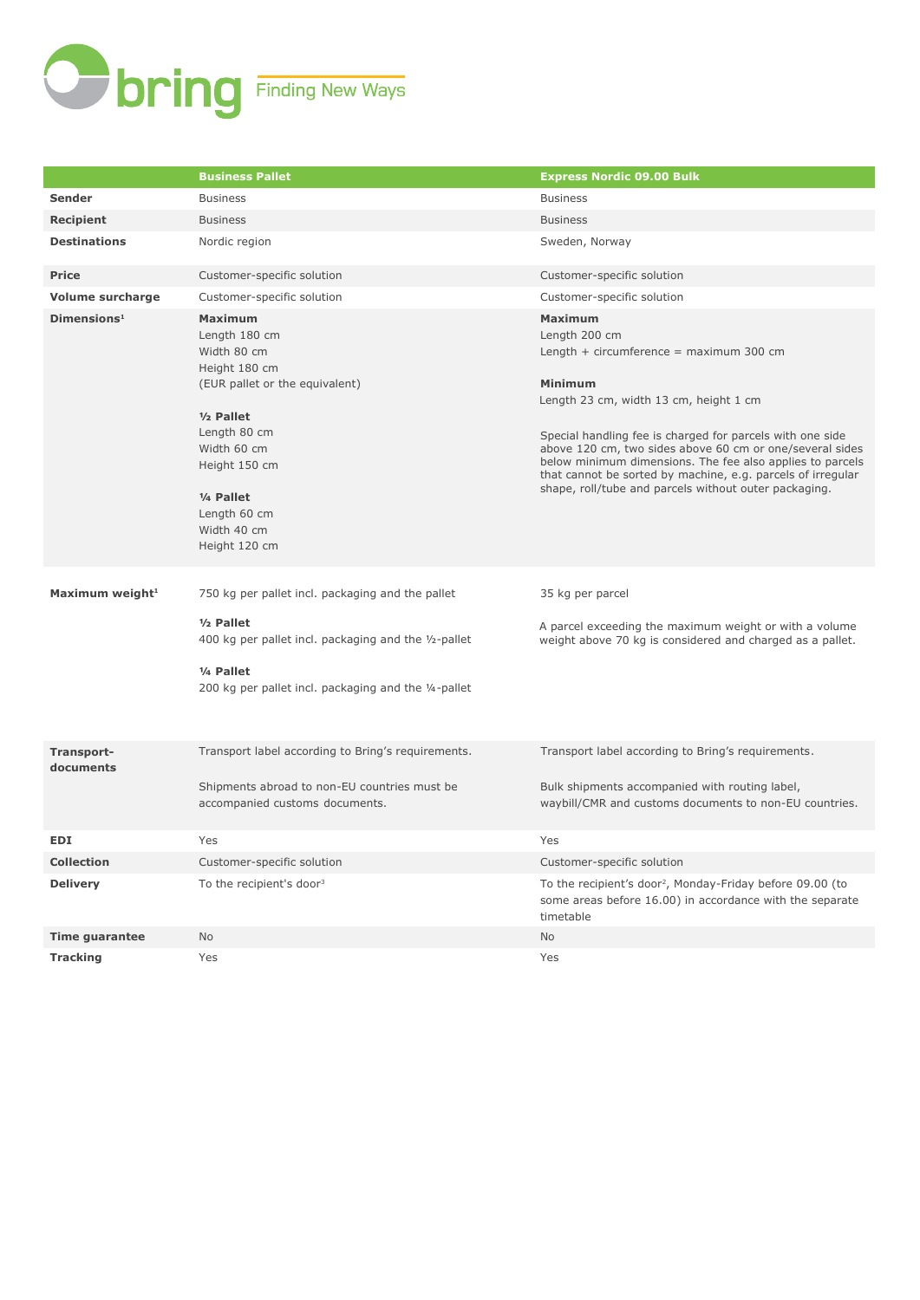

|                             | <b>Business Pallet</b>                                                                                                                                                                                                                      | <b>Express Nordic 09.00 Bulk</b>                                                                                                                                                                                                                                                                                                                                                                                                                         |
|-----------------------------|---------------------------------------------------------------------------------------------------------------------------------------------------------------------------------------------------------------------------------------------|----------------------------------------------------------------------------------------------------------------------------------------------------------------------------------------------------------------------------------------------------------------------------------------------------------------------------------------------------------------------------------------------------------------------------------------------------------|
| Sender                      | <b>Business</b>                                                                                                                                                                                                                             | <b>Business</b>                                                                                                                                                                                                                                                                                                                                                                                                                                          |
| Recipient                   | <b>Business</b>                                                                                                                                                                                                                             | <b>Business</b>                                                                                                                                                                                                                                                                                                                                                                                                                                          |
| <b>Destinations</b>         | Nordic region                                                                                                                                                                                                                               | Sweden, Norway                                                                                                                                                                                                                                                                                                                                                                                                                                           |
| <b>Price</b>                | Customer-specific solution                                                                                                                                                                                                                  | Customer-specific solution                                                                                                                                                                                                                                                                                                                                                                                                                               |
| <b>Volume surcharge</b>     | Customer-specific solution                                                                                                                                                                                                                  | Customer-specific solution                                                                                                                                                                                                                                                                                                                                                                                                                               |
| Dimensions <sup>1</sup>     | <b>Maximum</b><br>Length 180 cm<br>Width 80 cm<br>Height 180 cm<br>(EUR pallet or the equivalent)<br>$1/2$ Pallet<br>Length 80 cm<br>Width 60 cm<br>Height 150 cm<br>1/ <sub>4</sub> Pallet<br>Length 60 cm<br>Width 40 cm<br>Height 120 cm | <b>Maximum</b><br>Length 200 cm<br>Length $+$ circumference $=$ maximum 300 cm<br><b>Minimum</b><br>Length 23 cm, width 13 cm, height 1 cm<br>Special handling fee is charged for parcels with one side<br>above 120 cm, two sides above 60 cm or one/several sides<br>below minimum dimensions. The fee also applies to parcels<br>that cannot be sorted by machine, e.g. parcels of irregular<br>shape, roll/tube and parcels without outer packaging. |
| Maximum weight <sup>1</sup> | 750 kg per pallet incl. packaging and the pallet                                                                                                                                                                                            | 35 kg per parcel                                                                                                                                                                                                                                                                                                                                                                                                                                         |
|                             | $1/2$ Pallet<br>400 kg per pallet incl. packaging and the 1/2-pallet<br>1/ <sub>4</sub> Pallet<br>200 kg per pallet incl. packaging and the 1/4-pallet                                                                                      | A parcel exceeding the maximum weight or with a volume<br>weight above 70 kg is considered and charged as a pallet.                                                                                                                                                                                                                                                                                                                                      |
| Transport-<br>documents     | Transport label according to Bring's requirements.<br>Shipments abroad to non-EU countries must be<br>accompanied customs documents.                                                                                                        | Transport label according to Bring's requirements.<br>Bulk shipments accompanied with routing label,<br>waybill/CMR and customs documents to non-EU countries.                                                                                                                                                                                                                                                                                           |
| <b>EDI</b>                  | Yes                                                                                                                                                                                                                                         | Yes                                                                                                                                                                                                                                                                                                                                                                                                                                                      |
| <b>Collection</b>           | Customer-specific solution                                                                                                                                                                                                                  | Customer-specific solution                                                                                                                                                                                                                                                                                                                                                                                                                               |
| <b>Delivery</b>             | To the recipient's door <sup>3</sup>                                                                                                                                                                                                        | To the recipient's door <sup>2</sup> , Monday-Friday before 09.00 (to<br>some areas before 16.00) in accordance with the separate<br>timetable                                                                                                                                                                                                                                                                                                           |
| <b>Time guarantee</b>       | No                                                                                                                                                                                                                                          | No                                                                                                                                                                                                                                                                                                                                                                                                                                                       |
| <b>Tracking</b>             | Yes                                                                                                                                                                                                                                         | Yes                                                                                                                                                                                                                                                                                                                                                                                                                                                      |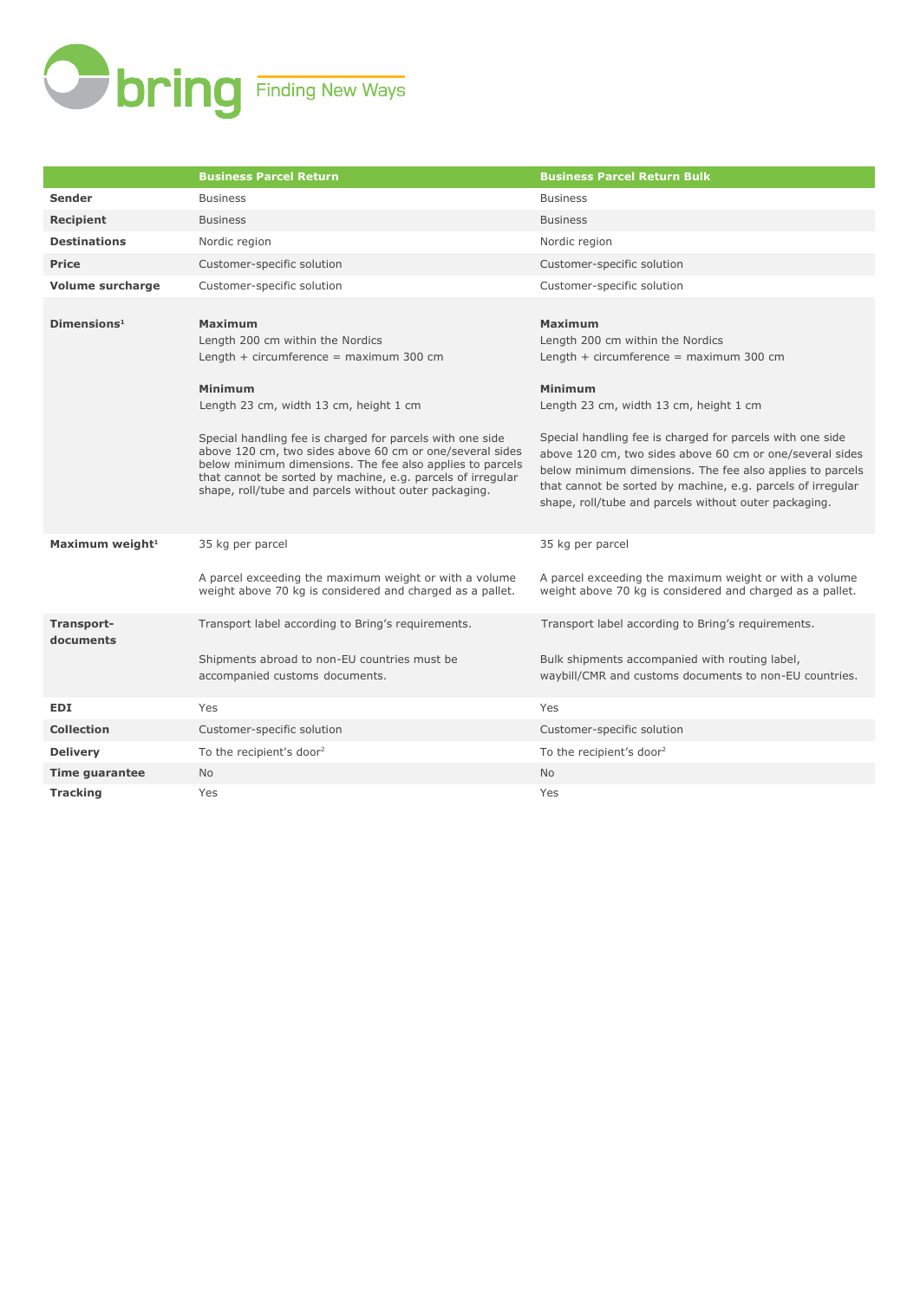

|                             | <b>Business Parcel Return</b>                                                                                                                                                                                                                                                                                                                                                                                                                                      | <b>Business Parcel Return Bulk</b>                                                                                                                                                                                                                                                                                                                                                                                                                                 |
|-----------------------------|--------------------------------------------------------------------------------------------------------------------------------------------------------------------------------------------------------------------------------------------------------------------------------------------------------------------------------------------------------------------------------------------------------------------------------------------------------------------|--------------------------------------------------------------------------------------------------------------------------------------------------------------------------------------------------------------------------------------------------------------------------------------------------------------------------------------------------------------------------------------------------------------------------------------------------------------------|
| <b>Sender</b>               | <b>Business</b>                                                                                                                                                                                                                                                                                                                                                                                                                                                    | <b>Business</b>                                                                                                                                                                                                                                                                                                                                                                                                                                                    |
| <b>Recipient</b>            | <b>Business</b>                                                                                                                                                                                                                                                                                                                                                                                                                                                    | <b>Business</b>                                                                                                                                                                                                                                                                                                                                                                                                                                                    |
| <b>Destinations</b>         | Nordic region                                                                                                                                                                                                                                                                                                                                                                                                                                                      | Nordic region                                                                                                                                                                                                                                                                                                                                                                                                                                                      |
| <b>Price</b>                | Customer-specific solution                                                                                                                                                                                                                                                                                                                                                                                                                                         | Customer-specific solution                                                                                                                                                                                                                                                                                                                                                                                                                                         |
| Volume surcharge            | Customer-specific solution                                                                                                                                                                                                                                                                                                                                                                                                                                         | Customer-specific solution                                                                                                                                                                                                                                                                                                                                                                                                                                         |
| Dimensions <sup>1</sup>     | <b>Maximum</b><br>Length 200 cm within the Nordics<br>Length $+$ circumference = maximum 300 cm<br>Minimum<br>Length 23 cm, width 13 cm, height 1 cm<br>Special handling fee is charged for parcels with one side<br>above 120 cm, two sides above 60 cm or one/several sides<br>below minimum dimensions. The fee also applies to parcels<br>that cannot be sorted by machine, e.g. parcels of irregular<br>shape, roll/tube and parcels without outer packaging. | <b>Maximum</b><br>Length 200 cm within the Nordics<br>Length $+$ circumference = maximum 300 cm<br>Minimum<br>Length 23 cm, width 13 cm, height 1 cm<br>Special handling fee is charged for parcels with one side<br>above 120 cm, two sides above 60 cm or one/several sides<br>below minimum dimensions. The fee also applies to parcels<br>that cannot be sorted by machine, e.g. parcels of irregular<br>shape, roll/tube and parcels without outer packaging. |
| Maximum weight <sup>1</sup> | 35 kg per parcel<br>A parcel exceeding the maximum weight or with a volume<br>weight above 70 kg is considered and charged as a pallet.                                                                                                                                                                                                                                                                                                                            | 35 kg per parcel<br>A parcel exceeding the maximum weight or with a volume<br>weight above 70 kg is considered and charged as a pallet.                                                                                                                                                                                                                                                                                                                            |
| Transport-<br>documents     | Transport label according to Bring's requirements.<br>Shipments abroad to non-EU countries must be<br>accompanied customs documents.                                                                                                                                                                                                                                                                                                                               | Transport label according to Bring's requirements.<br>Bulk shipments accompanied with routing label,<br>waybill/CMR and customs documents to non-EU countries.                                                                                                                                                                                                                                                                                                     |
| <b>EDI</b>                  | Yes                                                                                                                                                                                                                                                                                                                                                                                                                                                                | Yes                                                                                                                                                                                                                                                                                                                                                                                                                                                                |
| <b>Collection</b>           | Customer-specific solution                                                                                                                                                                                                                                                                                                                                                                                                                                         | Customer-specific solution                                                                                                                                                                                                                                                                                                                                                                                                                                         |
| <b>Delivery</b>             | To the recipient's door <sup>2</sup>                                                                                                                                                                                                                                                                                                                                                                                                                               | To the recipient's door <sup>2</sup>                                                                                                                                                                                                                                                                                                                                                                                                                               |
| <b>Time guarantee</b>       | N <sub>o</sub>                                                                                                                                                                                                                                                                                                                                                                                                                                                     | <b>No</b>                                                                                                                                                                                                                                                                                                                                                                                                                                                          |
| <b>Tracking</b>             | Yes                                                                                                                                                                                                                                                                                                                                                                                                                                                                | Yes                                                                                                                                                                                                                                                                                                                                                                                                                                                                |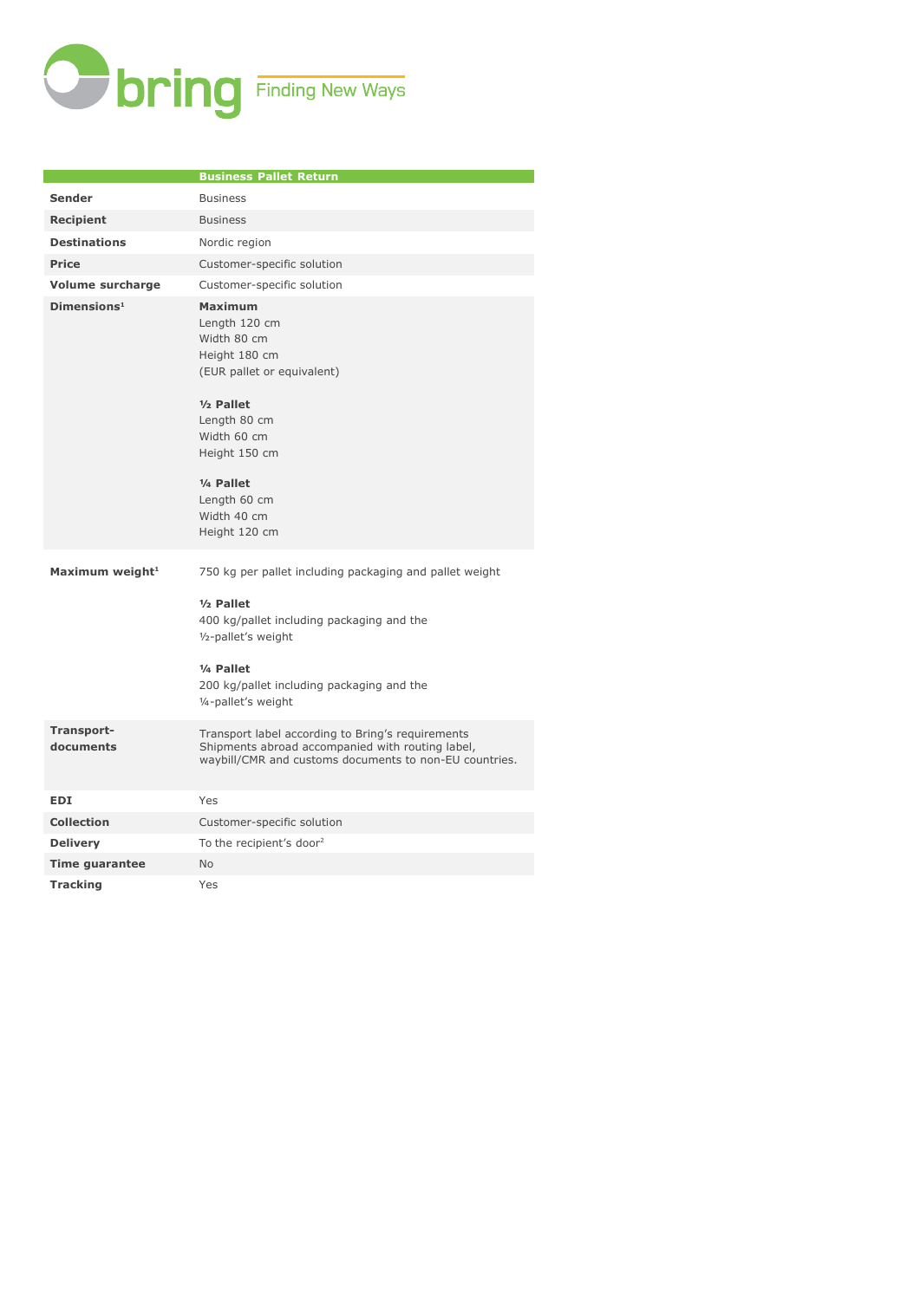

|                             | <b>Business Pallet Return</b>                                                                                                                                                                                                                          |
|-----------------------------|--------------------------------------------------------------------------------------------------------------------------------------------------------------------------------------------------------------------------------------------------------|
| <b>Sender</b>               | <b>Business</b>                                                                                                                                                                                                                                        |
| <b>Recipient</b>            | <b>Business</b>                                                                                                                                                                                                                                        |
| <b>Destinations</b>         | Nordic region                                                                                                                                                                                                                                          |
| <b>Price</b>                | Customer-specific solution                                                                                                                                                                                                                             |
| <b>Volume surcharge</b>     | Customer-specific solution                                                                                                                                                                                                                             |
| Dimensions <sup>1</sup>     | <b>Maximum</b><br>Length 120 cm<br>Width 80 cm<br>Height 180 cm<br>(EUR pallet or equivalent)<br>$1/2$ Pallet<br>Length 80 cm<br>Width 60 cm<br>Height 150 cm<br>1/4 Pallet<br>Length 60 cm<br>Width 40 cm<br>Height 120 cm                            |
| Maximum weight <sup>1</sup> | 750 kg per pallet including packaging and pallet weight<br>$1/2$ Pallet<br>400 kg/pallet including packaging and the<br>1/ <sub>2</sub> -pallet's weight<br>1/ <sub>4</sub> Pallet<br>200 kg/pallet including packaging and the<br>1/4-pallet's weight |
| Transport-<br>documents     | Transport label according to Bring's requirements<br>Shipments abroad accompanied with routing label,<br>waybill/CMR and customs documents to non-EU countries.                                                                                        |
| <b>EDI</b>                  | Yes                                                                                                                                                                                                                                                    |
| <b>Collection</b>           | Customer-specific solution                                                                                                                                                                                                                             |
| <b>Delivery</b>             | To the recipient's door <sup>2</sup>                                                                                                                                                                                                                   |
| <b>Time guarantee</b>       | <b>No</b>                                                                                                                                                                                                                                              |
| <b>Tracking</b>             | Yes                                                                                                                                                                                                                                                    |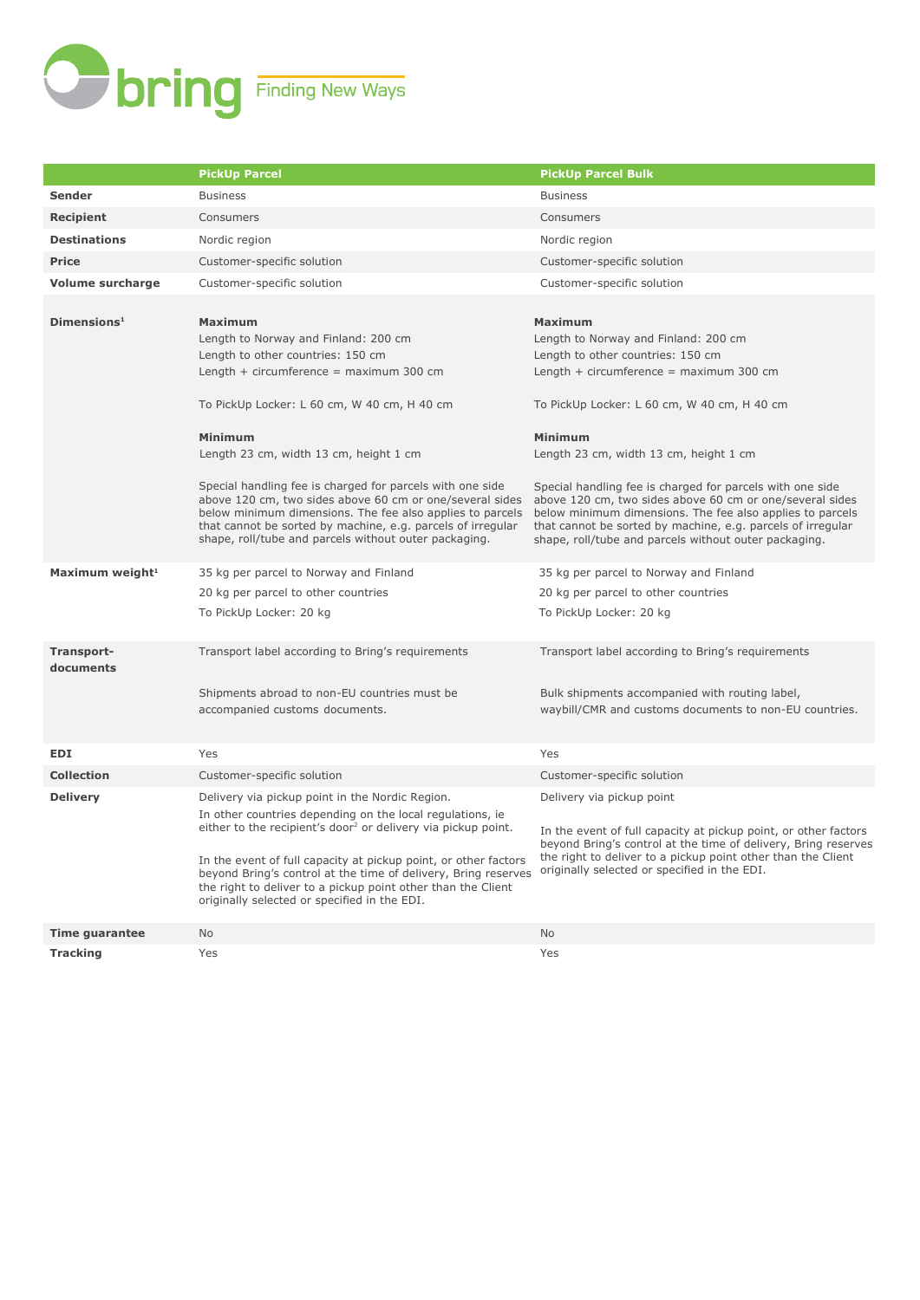

|                             | <b>PickUp Parcel</b>                                                                                                                                                                                                                                                                                                                                                                                                                                                                                                                                                | <b>PickUp Parcel Bulk</b>                                                                                                                                                                                                                                                                                                                                                                                                                                                                                                                                           |
|-----------------------------|---------------------------------------------------------------------------------------------------------------------------------------------------------------------------------------------------------------------------------------------------------------------------------------------------------------------------------------------------------------------------------------------------------------------------------------------------------------------------------------------------------------------------------------------------------------------|---------------------------------------------------------------------------------------------------------------------------------------------------------------------------------------------------------------------------------------------------------------------------------------------------------------------------------------------------------------------------------------------------------------------------------------------------------------------------------------------------------------------------------------------------------------------|
| Sender                      | <b>Business</b>                                                                                                                                                                                                                                                                                                                                                                                                                                                                                                                                                     | <b>Business</b>                                                                                                                                                                                                                                                                                                                                                                                                                                                                                                                                                     |
| <b>Recipient</b>            | Consumers                                                                                                                                                                                                                                                                                                                                                                                                                                                                                                                                                           | Consumers                                                                                                                                                                                                                                                                                                                                                                                                                                                                                                                                                           |
| <b>Destinations</b>         | Nordic region                                                                                                                                                                                                                                                                                                                                                                                                                                                                                                                                                       | Nordic region                                                                                                                                                                                                                                                                                                                                                                                                                                                                                                                                                       |
| <b>Price</b>                | Customer-specific solution                                                                                                                                                                                                                                                                                                                                                                                                                                                                                                                                          | Customer-specific solution                                                                                                                                                                                                                                                                                                                                                                                                                                                                                                                                          |
| <b>Volume surcharge</b>     | Customer-specific solution                                                                                                                                                                                                                                                                                                                                                                                                                                                                                                                                          | Customer-specific solution                                                                                                                                                                                                                                                                                                                                                                                                                                                                                                                                          |
| Dimensions <sup>1</sup>     | <b>Maximum</b><br>Length to Norway and Finland: 200 cm<br>Length to other countries: 150 cm<br>Length $+$ circumference $=$ maximum 300 cm<br>To PickUp Locker: L 60 cm, W 40 cm, H 40 cm<br><b>Minimum</b><br>Length 23 cm, width 13 cm, height 1 cm<br>Special handling fee is charged for parcels with one side<br>above 120 cm, two sides above 60 cm or one/several sides<br>below minimum dimensions. The fee also applies to parcels<br>that cannot be sorted by machine, e.g. parcels of irregular<br>shape, roll/tube and parcels without outer packaging. | <b>Maximum</b><br>Length to Norway and Finland: 200 cm<br>Length to other countries: 150 cm<br>Length $+$ circumference $=$ maximum 300 cm<br>To PickUp Locker: L 60 cm, W 40 cm, H 40 cm<br><b>Minimum</b><br>Length 23 cm, width 13 cm, height 1 cm<br>Special handling fee is charged for parcels with one side<br>above 120 cm, two sides above 60 cm or one/several sides<br>below minimum dimensions. The fee also applies to parcels<br>that cannot be sorted by machine, e.g. parcels of irregular<br>shape, roll/tube and parcels without outer packaging. |
| Maximum weight <sup>1</sup> | 35 kg per parcel to Norway and Finland<br>20 kg per parcel to other countries<br>To PickUp Locker: 20 kg                                                                                                                                                                                                                                                                                                                                                                                                                                                            | 35 kg per parcel to Norway and Finland<br>20 kg per parcel to other countries<br>To PickUp Locker: 20 kg                                                                                                                                                                                                                                                                                                                                                                                                                                                            |
| Transport-<br>documents     | Transport label according to Bring's requirements<br>Shipments abroad to non-EU countries must be<br>accompanied customs documents.                                                                                                                                                                                                                                                                                                                                                                                                                                 | Transport label according to Bring's requirements<br>Bulk shipments accompanied with routing label,<br>waybill/CMR and customs documents to non-EU countries.                                                                                                                                                                                                                                                                                                                                                                                                       |
| <b>EDI</b>                  | Yes                                                                                                                                                                                                                                                                                                                                                                                                                                                                                                                                                                 | Yes                                                                                                                                                                                                                                                                                                                                                                                                                                                                                                                                                                 |
| <b>Collection</b>           | Customer-specific solution                                                                                                                                                                                                                                                                                                                                                                                                                                                                                                                                          | Customer-specific solution                                                                                                                                                                                                                                                                                                                                                                                                                                                                                                                                          |
| <b>Delivery</b>             | Delivery via pickup point in the Nordic Region.<br>In other countries depending on the local regulations, ie<br>either to the recipient's door <sup>2</sup> or delivery via pickup point.<br>In the event of full capacity at pickup point, or other factors<br>beyond Bring's control at the time of delivery, Bring reserves<br>the right to deliver to a pickup point other than the Client<br>originally selected or specified in the EDI.                                                                                                                      | Delivery via pickup point<br>In the event of full capacity at pickup point, or other factors<br>beyond Bring's control at the time of delivery, Bring reserves<br>the right to deliver to a pickup point other than the Client<br>originally selected or specified in the EDI.                                                                                                                                                                                                                                                                                      |
| <b>Time guarantee</b>       | <b>No</b>                                                                                                                                                                                                                                                                                                                                                                                                                                                                                                                                                           | <b>No</b>                                                                                                                                                                                                                                                                                                                                                                                                                                                                                                                                                           |
| <b>Tracking</b>             | Yes                                                                                                                                                                                                                                                                                                                                                                                                                                                                                                                                                                 | Yes                                                                                                                                                                                                                                                                                                                                                                                                                                                                                                                                                                 |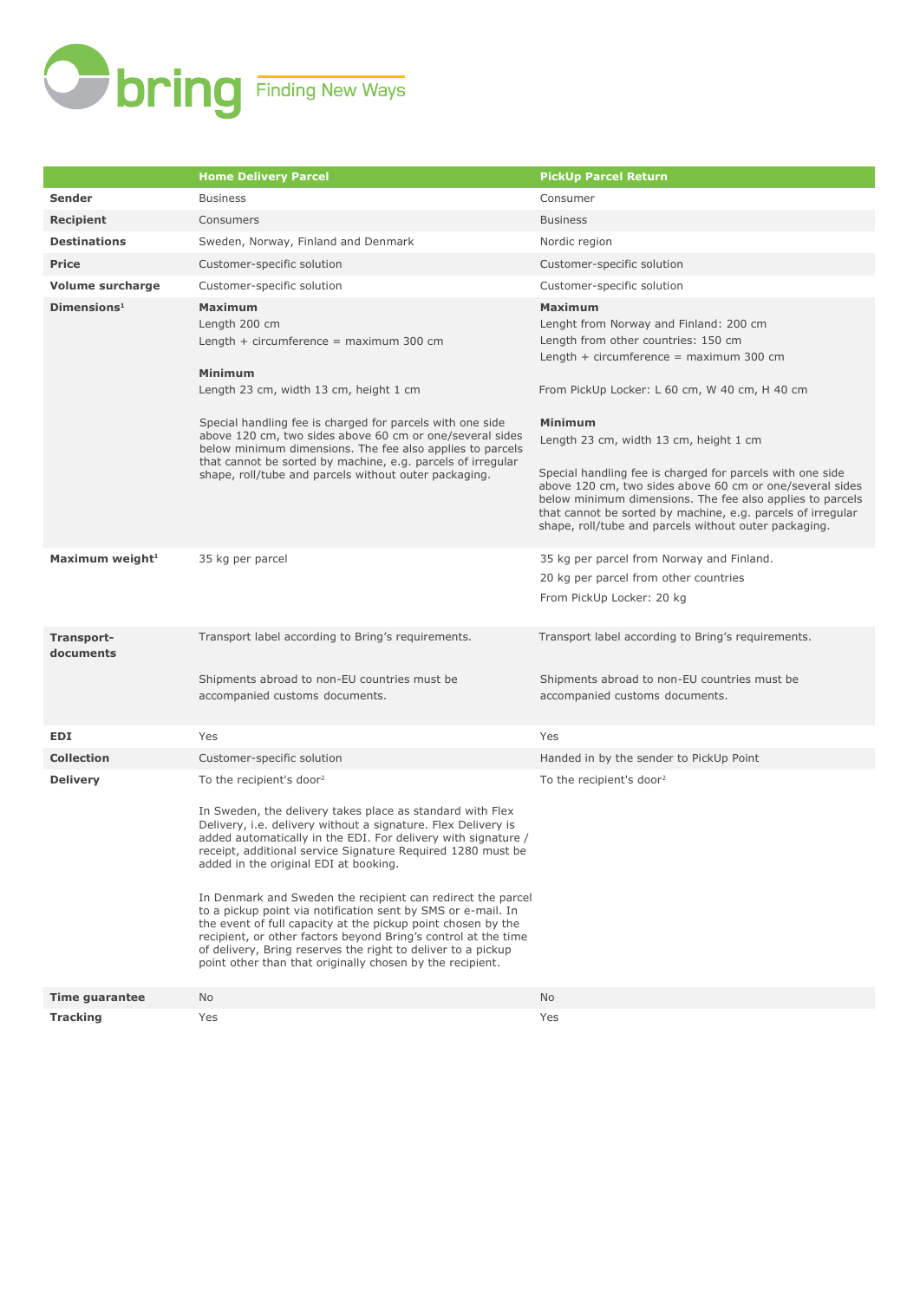

|                             | <b>Home Delivery Parcel</b>                                                                                                                                                                                                                                                                                                                                                                                                                                                                                                                                                                                                                                                                                                               | <b>PickUp Parcel Return</b>                                                                                                                                                                                                                                                                                                                                                                                                                                                                             |
|-----------------------------|-------------------------------------------------------------------------------------------------------------------------------------------------------------------------------------------------------------------------------------------------------------------------------------------------------------------------------------------------------------------------------------------------------------------------------------------------------------------------------------------------------------------------------------------------------------------------------------------------------------------------------------------------------------------------------------------------------------------------------------------|---------------------------------------------------------------------------------------------------------------------------------------------------------------------------------------------------------------------------------------------------------------------------------------------------------------------------------------------------------------------------------------------------------------------------------------------------------------------------------------------------------|
| <b>Sender</b>               | <b>Business</b>                                                                                                                                                                                                                                                                                                                                                                                                                                                                                                                                                                                                                                                                                                                           | Consumer                                                                                                                                                                                                                                                                                                                                                                                                                                                                                                |
| <b>Recipient</b>            | Consumers                                                                                                                                                                                                                                                                                                                                                                                                                                                                                                                                                                                                                                                                                                                                 | <b>Business</b>                                                                                                                                                                                                                                                                                                                                                                                                                                                                                         |
| <b>Destinations</b>         | Sweden, Norway, Finland and Denmark                                                                                                                                                                                                                                                                                                                                                                                                                                                                                                                                                                                                                                                                                                       | Nordic region                                                                                                                                                                                                                                                                                                                                                                                                                                                                                           |
| <b>Price</b>                | Customer-specific solution                                                                                                                                                                                                                                                                                                                                                                                                                                                                                                                                                                                                                                                                                                                | Customer-specific solution                                                                                                                                                                                                                                                                                                                                                                                                                                                                              |
| <b>Volume surcharge</b>     | Customer-specific solution                                                                                                                                                                                                                                                                                                                                                                                                                                                                                                                                                                                                                                                                                                                | Customer-specific solution                                                                                                                                                                                                                                                                                                                                                                                                                                                                              |
| Dimensions <sup>1</sup>     | <b>Maximum</b><br>Length 200 cm<br>Length $+$ circumference = maximum 300 cm<br>Minimum<br>Length 23 cm, width 13 cm, height 1 cm<br>Special handling fee is charged for parcels with one side<br>above 120 cm, two sides above 60 cm or one/several sides<br>below minimum dimensions. The fee also applies to parcels<br>that cannot be sorted by machine, e.g. parcels of irregular<br>shape, roll/tube and parcels without outer packaging.                                                                                                                                                                                                                                                                                           | <b>Maximum</b><br>Lenght from Norway and Finland: 200 cm<br>Length from other countries: 150 cm<br>Length $+$ circumference = maximum 300 cm<br>From PickUp Locker: L 60 cm, W 40 cm, H 40 cm<br>Minimum<br>Length 23 cm, width 13 cm, height 1 cm<br>Special handling fee is charged for parcels with one side<br>above 120 cm, two sides above 60 cm or one/several sides<br>below minimum dimensions. The fee also applies to parcels<br>that cannot be sorted by machine, e.g. parcels of irregular |
| Maximum weight <sup>1</sup> | 35 kg per parcel                                                                                                                                                                                                                                                                                                                                                                                                                                                                                                                                                                                                                                                                                                                          | shape, roll/tube and parcels without outer packaging.<br>35 kg per parcel from Norway and Finland.<br>20 kg per parcel from other countries<br>From PickUp Locker: 20 kg                                                                                                                                                                                                                                                                                                                                |
| Transport-<br>documents     | Transport label according to Bring's requirements.<br>Shipments abroad to non-EU countries must be<br>accompanied customs documents.                                                                                                                                                                                                                                                                                                                                                                                                                                                                                                                                                                                                      | Transport label according to Bring's requirements.<br>Shipments abroad to non-EU countries must be<br>accompanied customs documents.                                                                                                                                                                                                                                                                                                                                                                    |
| EDI                         | Yes                                                                                                                                                                                                                                                                                                                                                                                                                                                                                                                                                                                                                                                                                                                                       | Yes                                                                                                                                                                                                                                                                                                                                                                                                                                                                                                     |
| <b>Collection</b>           | Customer-specific solution                                                                                                                                                                                                                                                                                                                                                                                                                                                                                                                                                                                                                                                                                                                | Handed in by the sender to PickUp Point                                                                                                                                                                                                                                                                                                                                                                                                                                                                 |
| <b>Delivery</b>             | To the recipient's door <sup>2</sup><br>In Sweden, the delivery takes place as standard with Flex<br>Delivery, i.e. delivery without a signature. Flex Delivery is<br>added automatically in the EDI. For delivery with signature /<br>receipt, additional service Signature Required 1280 must be<br>added in the original EDI at booking.<br>In Denmark and Sweden the recipient can redirect the parcel<br>to a pickup point via notification sent by SMS or e-mail. In<br>the event of full capacity at the pickup point chosen by the<br>recipient, or other factors beyond Bring's control at the time<br>of delivery, Bring reserves the right to deliver to a pickup<br>point other than that originally chosen by the recipient. | To the recipient's door <sup>2</sup>                                                                                                                                                                                                                                                                                                                                                                                                                                                                    |
| <b>Time guarantee</b>       | No.                                                                                                                                                                                                                                                                                                                                                                                                                                                                                                                                                                                                                                                                                                                                       | No.                                                                                                                                                                                                                                                                                                                                                                                                                                                                                                     |
| <b>Tracking</b>             | Yes                                                                                                                                                                                                                                                                                                                                                                                                                                                                                                                                                                                                                                                                                                                                       | Yes                                                                                                                                                                                                                                                                                                                                                                                                                                                                                                     |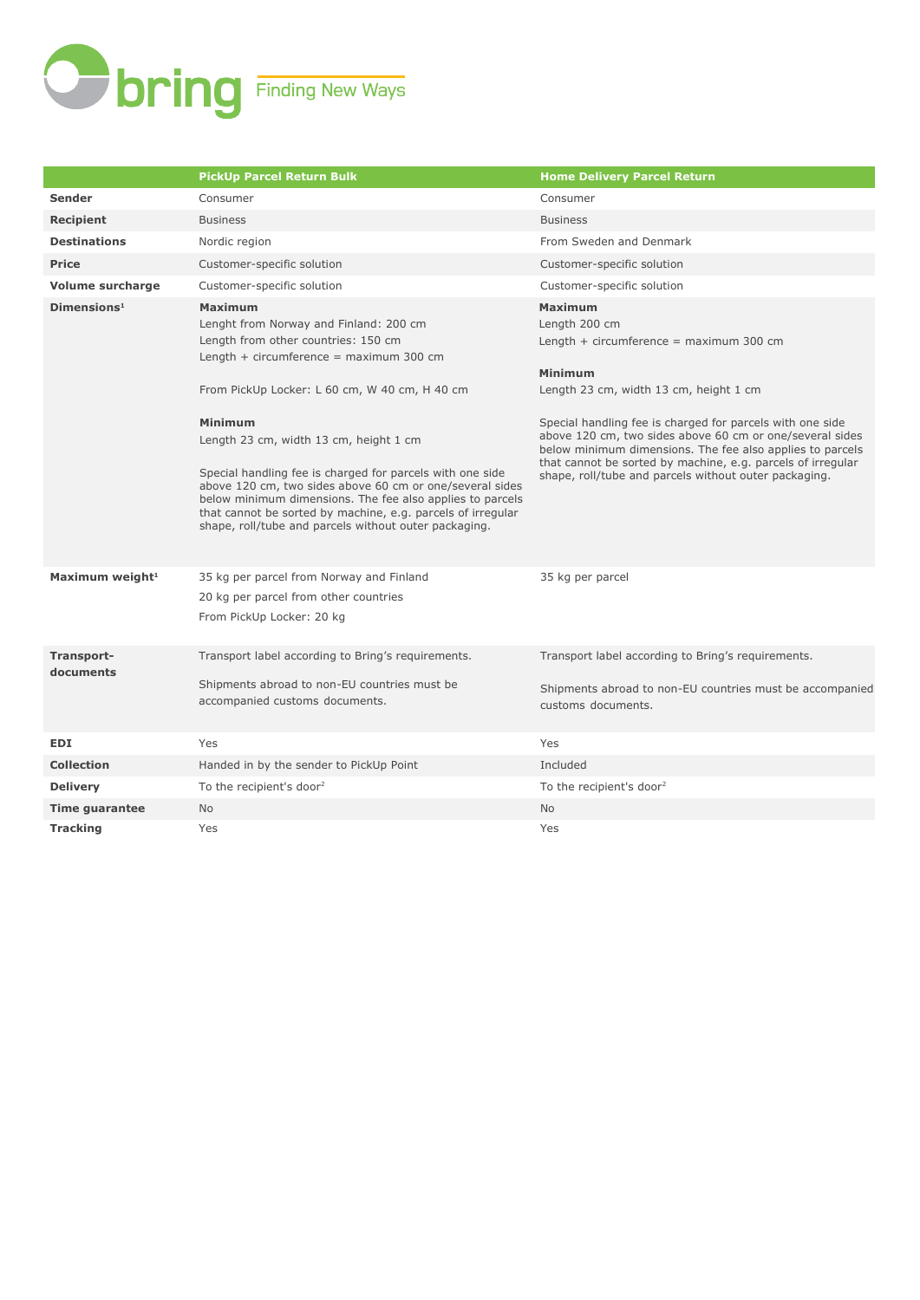

|                             | <b>PickUp Parcel Return Bulk</b>                                                                                                                                                                                                                                                                                                                                                                                                                                                                                                                                 | <b>Home Delivery Parcel Return</b>                                                                                                                                                                                                                                                                                                                                                                                                                     |
|-----------------------------|------------------------------------------------------------------------------------------------------------------------------------------------------------------------------------------------------------------------------------------------------------------------------------------------------------------------------------------------------------------------------------------------------------------------------------------------------------------------------------------------------------------------------------------------------------------|--------------------------------------------------------------------------------------------------------------------------------------------------------------------------------------------------------------------------------------------------------------------------------------------------------------------------------------------------------------------------------------------------------------------------------------------------------|
| Sender                      | Consumer                                                                                                                                                                                                                                                                                                                                                                                                                                                                                                                                                         | Consumer                                                                                                                                                                                                                                                                                                                                                                                                                                               |
| Recipient                   | <b>Business</b>                                                                                                                                                                                                                                                                                                                                                                                                                                                                                                                                                  | <b>Business</b>                                                                                                                                                                                                                                                                                                                                                                                                                                        |
| <b>Destinations</b>         | Nordic region                                                                                                                                                                                                                                                                                                                                                                                                                                                                                                                                                    | From Sweden and Denmark                                                                                                                                                                                                                                                                                                                                                                                                                                |
| <b>Price</b>                | Customer-specific solution                                                                                                                                                                                                                                                                                                                                                                                                                                                                                                                                       | Customer-specific solution                                                                                                                                                                                                                                                                                                                                                                                                                             |
| <b>Volume surcharge</b>     | Customer-specific solution                                                                                                                                                                                                                                                                                                                                                                                                                                                                                                                                       | Customer-specific solution                                                                                                                                                                                                                                                                                                                                                                                                                             |
| Dimensions <sup>1</sup>     | <b>Maximum</b><br>Lenght from Norway and Finland: 200 cm<br>Length from other countries: 150 cm<br>Length + circumference = $maximum 300 cm$<br>From PickUp Locker: L 60 cm, W 40 cm, H 40 cm<br>Minimum<br>Length 23 cm, width 13 cm, height 1 cm<br>Special handling fee is charged for parcels with one side<br>above 120 cm, two sides above 60 cm or one/several sides<br>below minimum dimensions. The fee also applies to parcels<br>that cannot be sorted by machine, e.g. parcels of irregular<br>shape, roll/tube and parcels without outer packaging. | <b>Maximum</b><br>Length 200 cm<br>Length $+$ circumference = maximum 300 cm<br><b>Minimum</b><br>Length 23 cm, width 13 cm, height 1 cm<br>Special handling fee is charged for parcels with one side<br>above 120 cm, two sides above 60 cm or one/several sides<br>below minimum dimensions. The fee also applies to parcels<br>that cannot be sorted by machine, e.g. parcels of irregular<br>shape, roll/tube and parcels without outer packaging. |
| Maximum weight <sup>1</sup> | 35 kg per parcel from Norway and Finland<br>20 kg per parcel from other countries<br>From PickUp Locker: 20 kg                                                                                                                                                                                                                                                                                                                                                                                                                                                   | 35 kg per parcel                                                                                                                                                                                                                                                                                                                                                                                                                                       |
| Transport-<br>documents     | Transport label according to Bring's requirements.<br>Shipments abroad to non-EU countries must be<br>accompanied customs documents.                                                                                                                                                                                                                                                                                                                                                                                                                             | Transport label according to Bring's requirements.<br>Shipments abroad to non-EU countries must be accompanied<br>customs documents.                                                                                                                                                                                                                                                                                                                   |
| <b>EDI</b>                  | Yes                                                                                                                                                                                                                                                                                                                                                                                                                                                                                                                                                              | Yes                                                                                                                                                                                                                                                                                                                                                                                                                                                    |
| <b>Collection</b>           | Handed in by the sender to PickUp Point                                                                                                                                                                                                                                                                                                                                                                                                                                                                                                                          | Included                                                                                                                                                                                                                                                                                                                                                                                                                                               |
| <b>Delivery</b>             | To the recipient's door <sup>2</sup>                                                                                                                                                                                                                                                                                                                                                                                                                                                                                                                             | To the recipient's door <sup>2</sup>                                                                                                                                                                                                                                                                                                                                                                                                                   |
| <b>Time guarantee</b>       | <b>No</b>                                                                                                                                                                                                                                                                                                                                                                                                                                                                                                                                                        | No                                                                                                                                                                                                                                                                                                                                                                                                                                                     |
| <b>Tracking</b>             | Yes                                                                                                                                                                                                                                                                                                                                                                                                                                                                                                                                                              | Yes                                                                                                                                                                                                                                                                                                                                                                                                                                                    |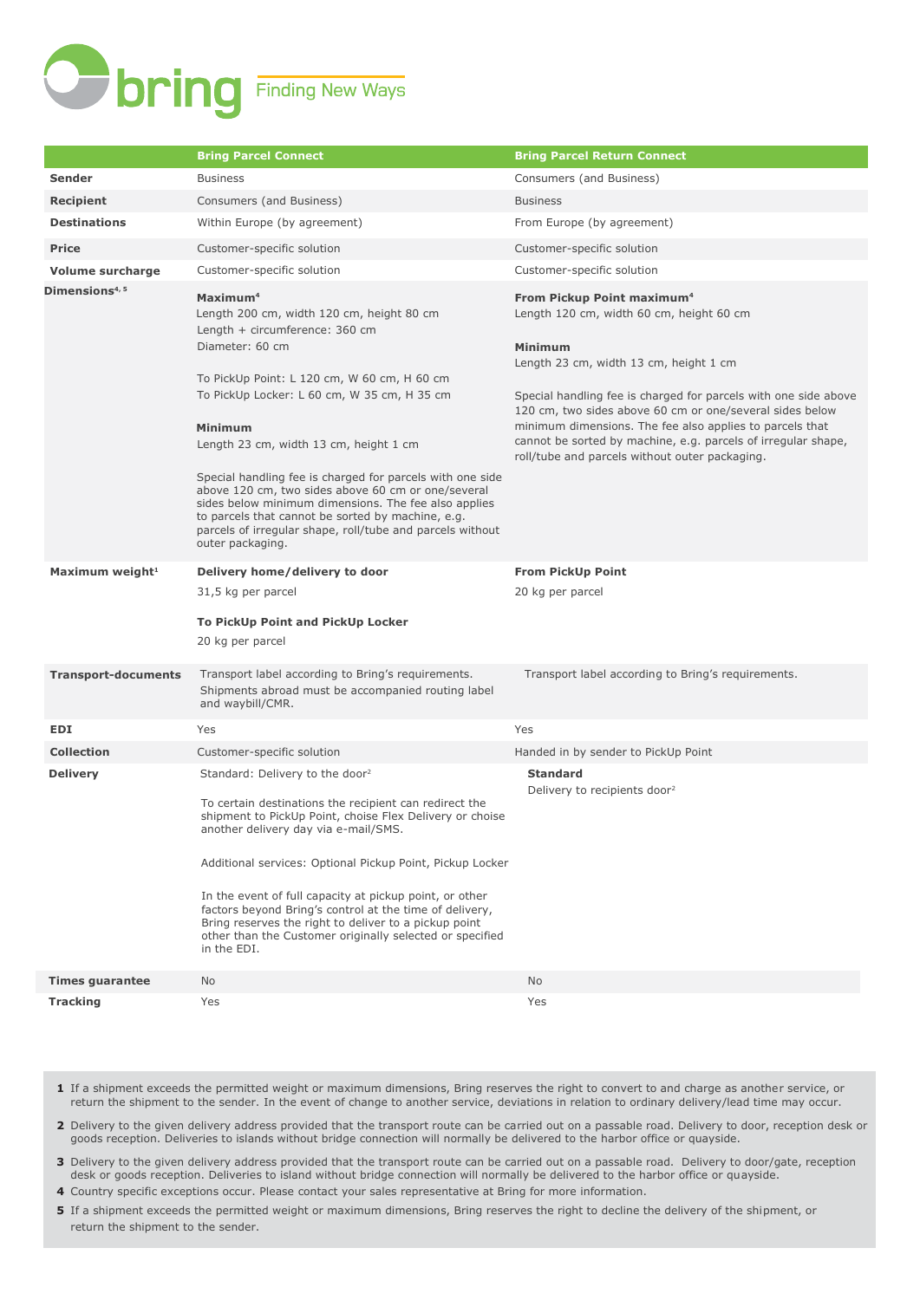

|                             | <b>Bring Parcel Connect</b>                                                                                                                                                                                                                                                                                                                                                                                                                                                                                                                                                                       | <b>Bring Parcel Return Connect</b>                                                                                                                                                                                                                                                                                                                                                                                                                           |
|-----------------------------|---------------------------------------------------------------------------------------------------------------------------------------------------------------------------------------------------------------------------------------------------------------------------------------------------------------------------------------------------------------------------------------------------------------------------------------------------------------------------------------------------------------------------------------------------------------------------------------------------|--------------------------------------------------------------------------------------------------------------------------------------------------------------------------------------------------------------------------------------------------------------------------------------------------------------------------------------------------------------------------------------------------------------------------------------------------------------|
| Sender                      | <b>Business</b>                                                                                                                                                                                                                                                                                                                                                                                                                                                                                                                                                                                   | Consumers (and Business)                                                                                                                                                                                                                                                                                                                                                                                                                                     |
| <b>Recipient</b>            | Consumers (and Business)                                                                                                                                                                                                                                                                                                                                                                                                                                                                                                                                                                          | <b>Business</b>                                                                                                                                                                                                                                                                                                                                                                                                                                              |
| <b>Destinations</b>         | Within Europe (by agreement)                                                                                                                                                                                                                                                                                                                                                                                                                                                                                                                                                                      | From Europe (by agreement)                                                                                                                                                                                                                                                                                                                                                                                                                                   |
| <b>Price</b>                | Customer-specific solution                                                                                                                                                                                                                                                                                                                                                                                                                                                                                                                                                                        | Customer-specific solution                                                                                                                                                                                                                                                                                                                                                                                                                                   |
| <b>Volume surcharge</b>     | Customer-specific solution                                                                                                                                                                                                                                                                                                                                                                                                                                                                                                                                                                        | Customer-specific solution                                                                                                                                                                                                                                                                                                                                                                                                                                   |
| Dimensions <sup>4, 5</sup>  | Maximum <sup>4</sup><br>Length 200 cm, width 120 cm, height 80 cm<br>Length + circumference: 360 cm<br>Diameter: 60 cm<br>To PickUp Point: L 120 cm, W 60 cm, H 60 cm<br>To PickUp Locker: L 60 cm, W 35 cm, H 35 cm<br><b>Minimum</b><br>Length 23 cm, width 13 cm, height 1 cm<br>Special handling fee is charged for parcels with one side<br>above 120 cm, two sides above 60 cm or one/several<br>sides below minimum dimensions. The fee also applies<br>to parcels that cannot be sorted by machine, e.g.<br>parcels of irregular shape, roll/tube and parcels without<br>outer packaging. | From Pickup Point maximum <sup>4</sup><br>Length 120 cm, width 60 cm, height 60 cm<br><b>Minimum</b><br>Length 23 cm, width 13 cm, height 1 cm<br>Special handling fee is charged for parcels with one side above<br>120 cm, two sides above 60 cm or one/several sides below<br>minimum dimensions. The fee also applies to parcels that<br>cannot be sorted by machine, e.g. parcels of irregular shape,<br>roll/tube and parcels without outer packaging. |
| Maximum weight <sup>1</sup> | Delivery home/delivery to door<br>31,5 kg per parcel<br>To PickUp Point and PickUp Locker<br>20 kg per parcel                                                                                                                                                                                                                                                                                                                                                                                                                                                                                     | <b>From PickUp Point</b><br>20 kg per parcel                                                                                                                                                                                                                                                                                                                                                                                                                 |
| <b>Transport-documents</b>  | Transport label according to Bring's requirements.<br>Shipments abroad must be accompanied routing label<br>and waybill/CMR.                                                                                                                                                                                                                                                                                                                                                                                                                                                                      | Transport label according to Bring's requirements.                                                                                                                                                                                                                                                                                                                                                                                                           |
| <b>EDI</b>                  | Yes                                                                                                                                                                                                                                                                                                                                                                                                                                                                                                                                                                                               | Yes                                                                                                                                                                                                                                                                                                                                                                                                                                                          |
| <b>Collection</b>           | Customer-specific solution                                                                                                                                                                                                                                                                                                                                                                                                                                                                                                                                                                        | Handed in by sender to PickUp Point                                                                                                                                                                                                                                                                                                                                                                                                                          |
| <b>Delivery</b>             | Standard: Delivery to the door <sup>2</sup><br>To certain destinations the recipient can redirect the<br>shipment to PickUp Point, choise Flex Delivery or choise<br>another delivery day via e-mail/SMS.<br>Additional services: Optional Pickup Point, Pickup Locker<br>In the event of full capacity at pickup point, or other<br>factors beyond Bring's control at the time of delivery,<br>Bring reserves the right to deliver to a pickup point<br>other than the Customer originally selected or specified<br>in the EDI.                                                                  | <b>Standard</b><br>Delivery to recipients door <sup>2</sup>                                                                                                                                                                                                                                                                                                                                                                                                  |
| <b>Times guarantee</b>      | No                                                                                                                                                                                                                                                                                                                                                                                                                                                                                                                                                                                                | No                                                                                                                                                                                                                                                                                                                                                                                                                                                           |
| <b>Tracking</b>             | Yes                                                                                                                                                                                                                                                                                                                                                                                                                                                                                                                                                                                               | Yes                                                                                                                                                                                                                                                                                                                                                                                                                                                          |

- **1** If a shipment exceeds the permitted weight or maximum dimensions, Bring reserves the right to convert to and charge as another service, or return the shipment to the sender. In the event of change to another service, deviations in relation to ordinary delivery/lead time may occur.
- **2** Delivery to the given delivery address provided that the transport route can be carried out on a passable road. Delivery to door, reception desk or goods reception. Deliveries to islands without bridge connection will normally be delivered to the harbor office or quayside.
- **3** Delivery to the given delivery address provided that the transport route can be carried out on a passable road. Delivery to door/gate, reception desk or goods reception. Deliveries to island without bridge connection will normally be delivered to the harbor office or quayside.
- **4** Country specific exceptions occur. Please contact your sales representative at Bring for more information.
- **5** If a shipment exceeds the permitted weight or maximum dimensions, Bring reserves the right to decline the delivery of the shipment, or return the shipment to the sender.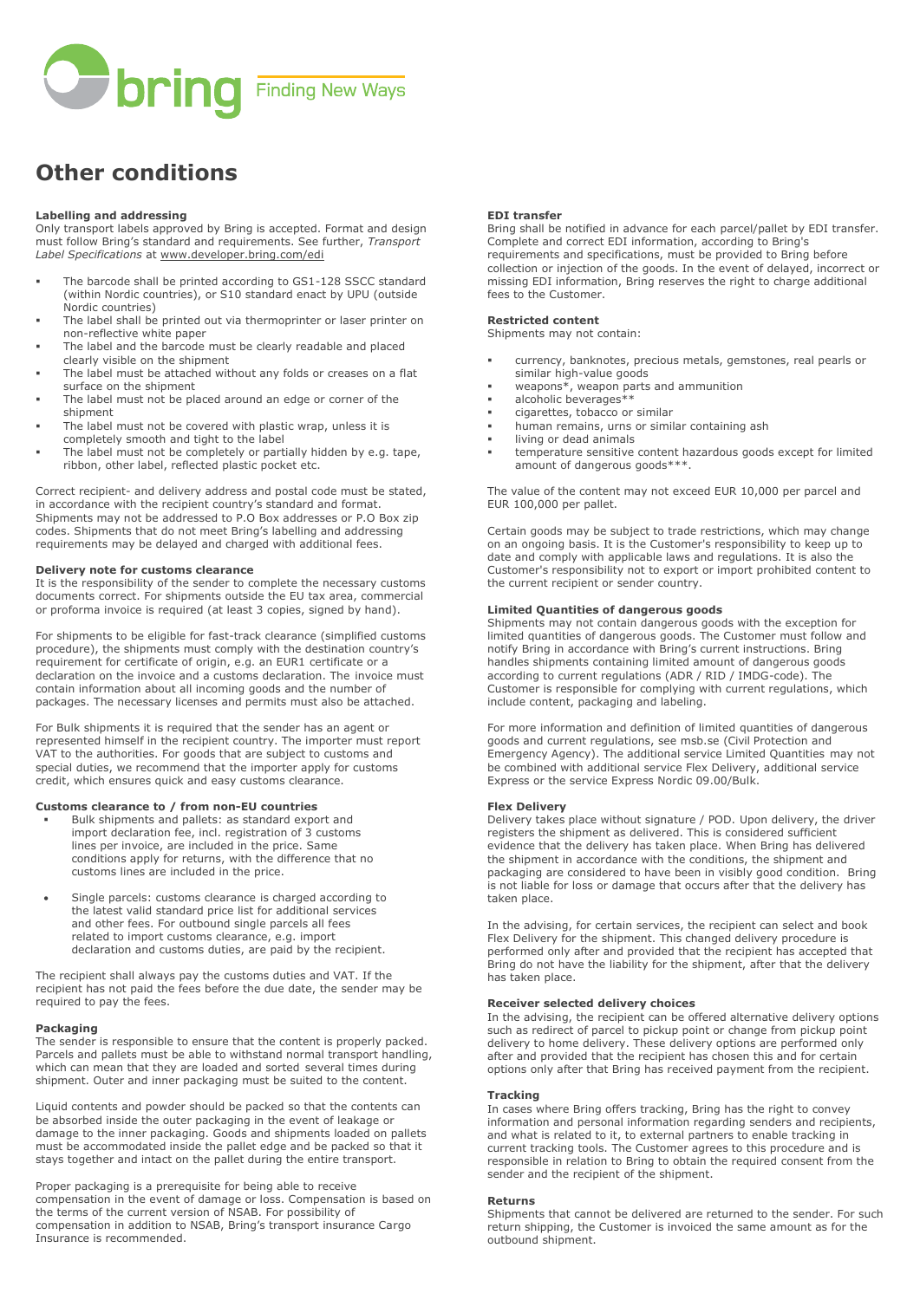

# **Other conditions**

#### **Labelling and addressing**

Only transport labels approved by Bring is accepted. Format and design must follow Bring's standard and requirements. See further, *Transport Label Specifications* at [www.developer.bring.com/edi](http://www.developer.bring.com/edi)

- The barcode shall be printed according to GS1-128 SSCC standard (within Nordic countries), or S10 standard enact by UPU (outside Nordic countries)
- The label shall be printed out via thermoprinter or laser printer on non-reflective white paper
- The label and the barcode must be clearly readable and placed clearly visible on the shipment
- The label must be attached without any folds or creases on a flat surface on the shipment
- The label must not be placed around an edge or corner of the shipment
- The label must not be covered with plastic wrap, unless it is completely smooth and tight to the label
- The label must not be completely or partially hidden by e.g. tape, ribbon, other label, reflected plastic pocket etc.

Correct recipient- and delivery address and postal code must be stated, in accordance with the recipient country's standard and format. Shipments may not be addressed to P.O Box addresses or P.O Box zip codes. Shipments that do not meet Bring's labelling and addressing requirements may be delayed and charged with additional fees.

#### **Delivery note for customs clearance**

It is the responsibility of the sender to complete the necessary customs documents correct. For shipments outside the EU tax area, commercial or proforma invoice is required (at least 3 copies, signed by hand).

For shipments to be eligible for fast-track clearance (simplified customs procedure), the shipments must comply with the destination country's requirement for certificate of origin, e.g. an EUR1 certificate or a declaration on the invoice and a customs declaration. The invoice must contain information about all incoming goods and the number of packages. The necessary licenses and permits must also be attached.

For Bulk shipments it is required that the sender has an agent or represented himself in the recipient country. The importer must report VAT to the authorities. For goods that are subject to customs and special duties, we recommend that the importer apply for customs credit, which ensures quick and easy customs clearance.

#### **Customs clearance to / from non-EU countries**

- Bulk shipments and pallets: as standard export and import declaration fee, incl. registration of 3 customs lines per invoice, are included in the price. Same conditions apply for returns, with the difference that no customs lines are included in the price.
- Single parcels: customs clearance is charged according to the latest valid standard price list for additional services and other fees. For outbound single parcels all fees related to import customs clearance, e.g. import declaration and customs duties, are paid by the recipient.

The recipient shall always pay the customs duties and VAT. If the recipient has not paid the fees before the due date, the sender may be required to pay the fees.

## **Packaging**

The sender is responsible to ensure that the content is properly packed. Parcels and pallets must be able to withstand normal transport handling, which can mean that they are loaded and sorted several times during shipment. Outer and inner packaging must be suited to the content.

Liquid contents and powder should be packed so that the contents can be absorbed inside the outer packaging in the event of leakage or damage to the inner packaging. Goods and shipments loaded on pallets must be accommodated inside the pallet edge and be packed so that it stays together and intact on the pallet during the entire transport.

Proper packaging is a prerequisite for being able to receive compensation in the event of damage or loss. Compensation is based on the terms of the current version of NSAB. For possibility of compensation in addition to NSAB, Bring's transport insurance Cargo Insurance is recommended.

#### **EDI transfer**

Bring shall be notified in advance for each parcel/pallet by EDI transfer. Complete and correct EDI information, according to Bring's requirements and specifications, must be provided to Bring before collection or injection of the goods. In the event of delayed, incorrect or missing EDI information, Bring reserves the right to charge additional fees to the Customer.

#### **Restricted content**

Shipments may not contain:

- currency, banknotes, precious metals, gemstones, real pearls or similar high-value goods
- $weapons*$ , weapon parts and ammunition
- alcoholic beverages\*\*
- cigarettes, tobacco or similar<br>■ human remains urns or simil
- **Example 20 Feature 11 Features** containing ash
- living or dead animals
- temperature sensitive content hazardous goods except for limited amount of dangerous goods\*\*\*.

The value of the content may not exceed EUR 10,000 per parcel and EUR 100,000 per pallet.

Certain goods may be subject to trade restrictions, which may change on an ongoing basis. It is the Customer's responsibility to keep up to date and comply with applicable laws and regulations. It is also the Customer's responsibility not to export or import prohibited content to the current recipient or sender country.

## **Limited Quantities of dangerous goods**

Shipments may not contain dangerous goods with the exception for limited quantities of dangerous goods. The Customer must follow and notify Bring in accordance with Bring's current instructions. Bring handles shipments containing limited amount of dangerous goods according to current regulations (ADR / RID / IMDG-code). The Customer is responsible for complying with current regulations, which include content, packaging and labeling.

For more information and definition of limited quantities of dangerous goods and current regulations, see msb.se (Civil Protection and Emergency Agency). The additional service Limited Quantities may not be combined with additional service Flex Delivery, additional service Express or the service Express Nordic 09.00/Bulk.

#### **Flex Delivery**

Delivery takes place without signature / POD. Upon delivery, the driver registers the shipment as delivered. This is considered sufficient evidence that the delivery has taken place. When Bring has delivered the shipment in accordance with the conditions, the shipment and packaging are considered to have been in visibly good condition. Bring is not liable for loss or damage that occurs after that the delivery has taken place.

In the advising, for certain services, the recipient can select and book Flex Delivery for the shipment. This changed delivery procedure is performed only after and provided that the recipient has accepted that Bring do not have the liability for the shipment, after that the delivery has taken place.

#### **Receiver selected delivery choices**

In the advising, the recipient can be offered alternative delivery options such as redirect of parcel to pickup point or change from pickup point delivery to home delivery. These delivery options are performed only after and provided that the recipient has chosen this and for certain options only after that Bring has received payment from the recipient.

#### **Tracking**

In cases where Bring offers tracking, Bring has the right to convey information and personal information regarding senders and recipients, and what is related to it, to external partners to enable tracking in current tracking tools. The Customer agrees to this procedure and is responsible in relation to Bring to obtain the required consent from the sender and the recipient of the shipment.

#### **Returns**

Shipments that cannot be delivered are returned to the sender. For such return shipping, the Customer is invoiced the same amount as for the outbound shipment.